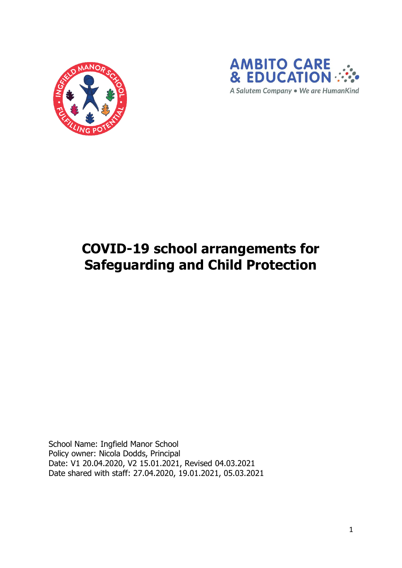



# **COVID-19 school arrangements for Safeguarding and Child Protection**

School Name: Ingfield Manor School Policy owner: Nicola Dodds, Principal Date: V1 20.04.2020, V2 15.01.2021, Revised 04.03.2021 Date shared with staff: 27.04.2020, 19.01.2021, 05.03.2021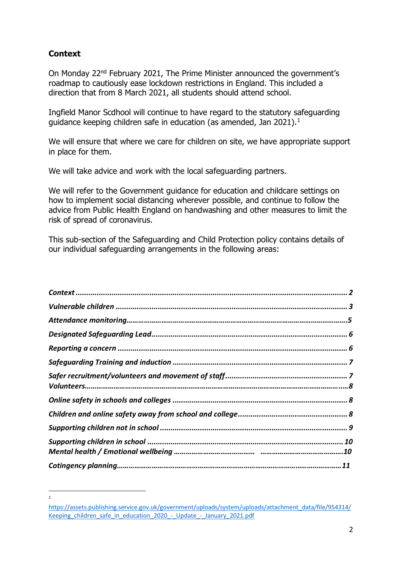# <span id="page-1-0"></span>**Context**

1

On Monday 22nd February 2021, The Prime Minister announced the government's roadmap to cautiously ease lockdown restrictions in England. This included a direction that from 8 March 2021, all students should attend school.

Ingfield Manor Scdhool will continue to have regard to the statutory safeguarding guidance keeping children safe in education (as amended, Jan 2021).<sup>1</sup>

We will ensure that where we care for children on site, we have appropriate support in place for them.

We will take advice and work with the local safeguarding partners.

We will refer to the Government guidance for education and childcare settings on how to implement social distancing wherever possible, and continue to follow the advice from Public Health England on handwashing and other measures to limit the risk of spread of coronavirus.

This sub-section of the Safeguarding and Child Protection policy contains details of our individual safeguarding arrangements in the following areas:

[https://assets.publishing.service.gov.uk/government/uploads/system/uploads/attachment\\_data/file/954314/](https://assets.publishing.service.gov.uk/government/uploads/system/uploads/attachment_data/file/954314/Keeping_children_safe_in_education_2020_-_Update_-_January_2021.pdf) Keeping children\_safe\_in\_education\_2020\_-\_Update\_-\_January\_2021.pdf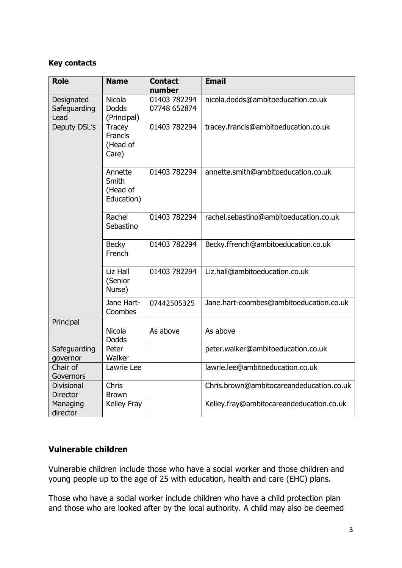#### **Key contacts**

| <b>Role</b>                        | <b>Name</b>                                          | <b>Contact</b><br>number     | <b>Email</b>                             |
|------------------------------------|------------------------------------------------------|------------------------------|------------------------------------------|
| Designated<br>Safeguarding<br>Lead | <b>Nicola</b><br><b>Dodds</b><br>(Principal)         | 01403 782294<br>07748 652874 | nicola.dodds@ambitoeducation.co.uk       |
| Deputy DSL's                       | <b>Tracey</b><br><b>Francis</b><br>(Head of<br>Care) | 01403 782294                 | tracey.francis@ambitoeducation.co.uk     |
|                                    | Annette<br>Smith<br>(Head of<br>Education)           | 01403 782294                 | annette.smith@ambitoeducation.co.uk      |
|                                    | Rachel<br>Sebastino                                  | 01403 782294                 | rachel.sebastino@ambitoeducation.co.uk   |
|                                    | <b>Becky</b><br>French                               | 01403 782294                 | Becky.ffrench@ambitoeducation.co.uk      |
|                                    | Liz Hall<br>(Senior<br>Nurse)                        | 01403 782294                 | Liz.hall@ambitoeducation.co.uk           |
|                                    | Jane Hart-<br>Coombes                                | 07442505325                  | Jane.hart-coombes@ambitoeducation.co.uk  |
| Principal                          | <b>Nicola</b><br><b>Dodds</b>                        | As above                     | As above                                 |
| Safeguarding<br>governor           | Peter<br>Walker                                      |                              | peter.walker@ambitoeducation.co.uk       |
| Chair of<br>Governors              | Lawrie Lee                                           |                              | lawrie.lee@ambitoeducation.co.uk         |
| Divisional<br><b>Director</b>      | Chris<br><b>Brown</b>                                |                              | Chris.brown@ambitocareandeducation.co.uk |
| Managing<br>director               | Kelley Fray                                          |                              | Kelley.fray@ambitocareandeducation.co.uk |

## <span id="page-2-0"></span>**Vulnerable children**

Vulnerable children include those who have a social worker and those children and young people up to the age of 25 with education, health and care (EHC) plans.

Those who have a social worker include children who have a child protection plan and those who are looked after by the local authority. A child may also be deemed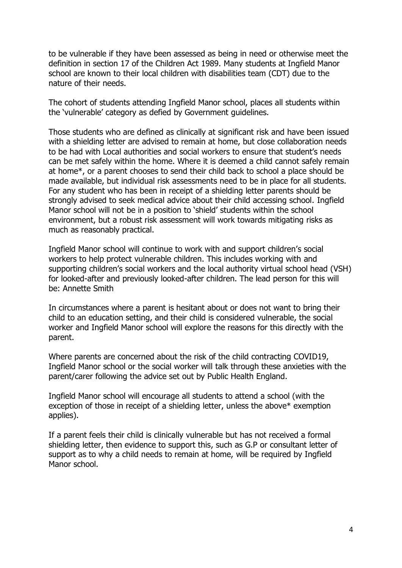to be vulnerable if they have been assessed as being in need or otherwise meet the definition in section 17 of the Children Act 1989. Many students at Ingfield Manor school are known to their local children with disabilities team (CDT) due to the nature of their needs.

The cohort of students attending Ingfield Manor school, places all students within the 'vulnerable' category as defied by Government guidelines.

Those students who are defined as clinically at significant risk and have been issued with a shielding letter are advised to remain at home, but close collaboration needs to be had with Local authorities and social workers to ensure that student's needs can be met safely within the home. Where it is deemed a child cannot safely remain at home\*, or a parent chooses to send their child back to school a place should be made available, but individual risk assessments need to be in place for all students. For any student who has been in receipt of a shielding letter parents should be strongly advised to seek medical advice about their child accessing school. Ingfield Manor school will not be in a position to 'shield' students within the school environment, but a robust risk assessment will work towards mitigating risks as much as reasonably practical.

Ingfield Manor school will continue to work with and support children's social workers to help protect vulnerable children. This includes working with and supporting children's social workers and the local authority virtual school head (VSH) for looked-after and previously looked-after children. The lead person for this will be: Annette Smith

In circumstances where a parent is hesitant about or does not want to bring their child to an education setting, and their child is considered vulnerable, the social worker and Ingfield Manor school will explore the reasons for this directly with the parent.

Where parents are concerned about the risk of the child contracting COVID19, Ingfield Manor school or the social worker will talk through these anxieties with the parent/carer following the advice set out by Public Health England.

Ingfield Manor school will encourage all students to attend a school (with the exception of those in receipt of a shielding letter, unless the above\* exemption applies).

<span id="page-3-0"></span>If a parent feels their child is clinically vulnerable but has not received a formal shielding letter, then evidence to support this, such as G.P or consultant letter of support as to why a child needs to remain at home, will be required by Ingfield Manor school.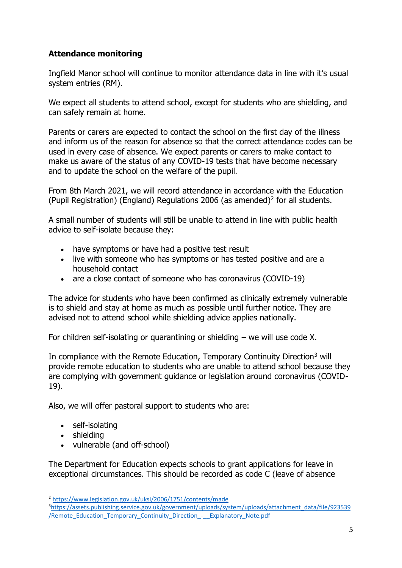## **Attendance monitoring**

Ingfield Manor school will continue to monitor attendance data in line with it's usual system entries (RM).

We expect all students to attend school, except for students who are shielding, and can safely remain at home.

Parents or carers are expected to contact the school on the first day of the illness and inform us of the reason for absence so that the correct attendance codes can be used in every case of absence. We expect parents or carers to make contact to make us aware of the status of any COVID-19 tests that have become necessary and to update the school on the welfare of the pupil.

From 8th March 2021, we will record attendance in accordance with the Education (Pupil Registration) (England) Regulations 2006 (as amended)<sup>2</sup> for all students.

A small number of students will still be unable to attend in line with public health advice to self-isolate because they:

- have symptoms or have had a positive test result
- live with someone who has symptoms or has tested positive and are a household contact
- are a close contact of someone who has coronavirus (COVID-19)

The advice for students who have been confirmed as clinically extremely vulnerable is to shield and stay at home as much as possible until further notice. They are advised not to attend school while shielding advice applies nationally.

For children self-isolating or quarantining or shielding – we will use code X.

In compliance with the Remote Education, Temporary Continuity Direction<sup>3</sup> will provide remote education to students who are unable to attend school because they are complying with government guidance or legislation around coronavirus (COVID-19).

Also, we will offer pastoral support to students who are:

- self-isolating
- shielding
- vulnerable (and off-school)

The Department for Education expects schools to grant applications for leave in exceptional circumstances. This should be recorded as code C (leave of absence

<sup>2</sup> <https://www.legislation.gov.uk/uksi/2006/1751/contents/made>

<sup>3</sup>[https://assets.publishing.service.gov.uk/government/uploads/system/uploads/attachment\\_data/file/923539](https://assets.publishing.service.gov.uk/government/uploads/system/uploads/attachment_data/file/923539/Remote_Education_Temporary_Continuity_Direction_-__Explanatory_Note.pdf) [/Remote\\_Education\\_Temporary\\_Continuity\\_Direction\\_-\\_\\_Explanatory\\_Note.pdf](https://assets.publishing.service.gov.uk/government/uploads/system/uploads/attachment_data/file/923539/Remote_Education_Temporary_Continuity_Direction_-__Explanatory_Note.pdf)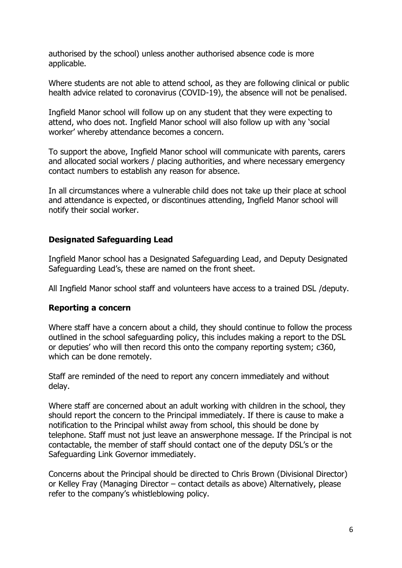authorised by the school) unless another authorised absence code is more applicable.

Where students are not able to attend school, as they are following clinical or public health advice related to coronavirus (COVID-19), the absence will not be penalised.

Ingfield Manor school will follow up on any student that they were expecting to attend, who does not. Ingfield Manor school will also follow up with any 'social worker' whereby attendance becomes a concern.

To support the above, Ingfield Manor school will communicate with parents, carers and allocated social workers / placing authorities, and where necessary emergency contact numbers to establish any reason for absence.

In all circumstances where a vulnerable child does not take up their place at school and attendance is expected, or discontinues attending, Ingfield Manor school will notify their social worker.

## <span id="page-5-0"></span>**Designated Safeguarding Lead**

Ingfield Manor school has a Designated Safeguarding Lead, and Deputy Designated Safeguarding Lead's, these are named on the front sheet.

All Ingfield Manor school staff and volunteers have access to a trained DSL /deputy.

## <span id="page-5-1"></span>**Reporting a concern**

Where staff have a concern about a child, they should continue to follow the process outlined in the school safeguarding policy, this includes making a report to the DSL or deputies' who will then record this onto the company reporting system; c360, which can be done remotely.

Staff are reminded of the need to report any concern immediately and without delay.

Where staff are concerned about an adult working with children in the school, they should report the concern to the Principal immediately. If there is cause to make a notification to the Principal whilst away from school, this should be done by telephone. Staff must not just leave an answerphone message. If the Principal is not contactable, the member of staff should contact one of the deputy DSL's or the Safeguarding Link Governor immediately.

Concerns about the Principal should be directed to Chris Brown (Divisional Director) or Kelley Fray (Managing Director – contact details as above) Alternatively, please refer to the company's whistleblowing policy.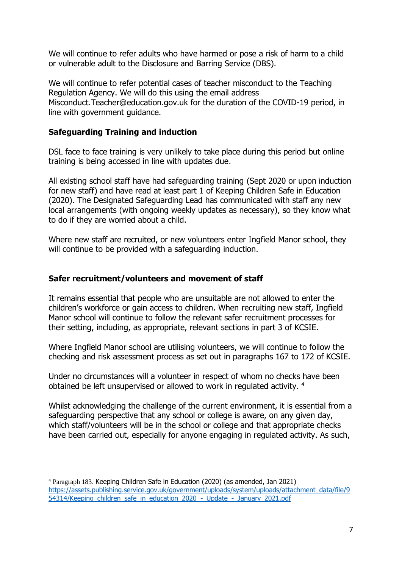We will continue to refer adults who have harmed or pose a risk of harm to a child or vulnerable adult to the Disclosure and Barring Service (DBS).

We will continue to refer potential cases of teacher misconduct to the Teaching Regulation Agency. We will do this using the email address Misconduct.Teacher@education.gov.uk for the duration of the COVID-19 period, in line with government guidance.

## <span id="page-6-0"></span>**Safeguarding Training and induction**

DSL face to face training is very unlikely to take place during this period but online training is being accessed in line with updates due.

All existing school staff have had safeguarding training (Sept 2020 or upon induction for new staff) and have read at least part 1 of Keeping Children Safe in Education (2020). The Designated Safeguarding Lead has communicated with staff any new local arrangements (with ongoing weekly updates as necessary), so they know what to do if they are worried about a child.

Where new staff are recruited, or new volunteers enter Ingfield Manor school, they will continue to be provided with a safeguarding induction.

## <span id="page-6-1"></span>**Safer recruitment/volunteers and movement of staff**

It remains essential that people who are unsuitable are not allowed to enter the children's workforce or gain access to children. When recruiting new staff, Ingfield Manor school will continue to follow the relevant safer recruitment processes for their setting, including, as appropriate, relevant sections in part 3 of KCSIE.

Where Ingfield Manor school are utilising volunteers, we will continue to follow the checking and risk assessment process as set out in paragraphs 167 to 172 of KCSIE.

Under no circumstances will a volunteer in respect of whom no checks have been obtained be left unsupervised or allowed to work in regulated activity. <sup>4</sup>

Whilst acknowledging the challenge of the current environment, it is essential from a safeguarding perspective that any school or college is aware, on any given day, which staff/volunteers will be in the school or college and that appropriate checks have been carried out, especially for anyone engaging in regulated activity. As such,

<sup>4</sup> Paragraph 183. Keeping Children Safe in Education (2020) (as amended, Jan 2021) [https://assets.publishing.service.gov.uk/government/uploads/system/uploads/attachment\\_data/file/9](https://assets.publishing.service.gov.uk/government/uploads/system/uploads/attachment_data/file/954314/Keeping_children_safe_in_education_2020_-_Update_-_January_2021.pdf) [54314/Keeping\\_children\\_safe\\_in\\_education\\_2020\\_-\\_Update\\_-\\_January\\_2021.pdf](https://assets.publishing.service.gov.uk/government/uploads/system/uploads/attachment_data/file/954314/Keeping_children_safe_in_education_2020_-_Update_-_January_2021.pdf)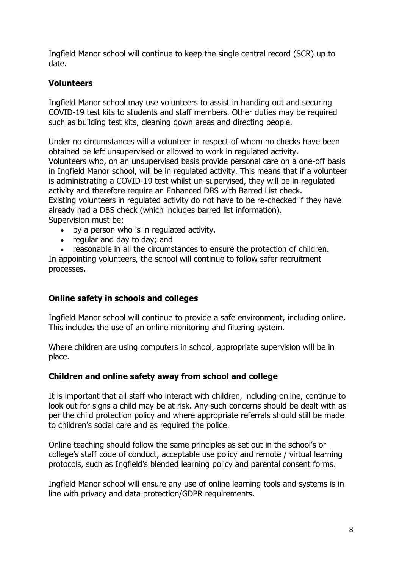Ingfield Manor school will continue to keep the single central record (SCR) up to date.

## **Volunteers**

Ingfield Manor school may use volunteers to assist in handing out and securing COVID-19 test kits to students and staff members. Other duties may be required such as building test kits, cleaning down areas and directing people.

Under no circumstances will a volunteer in respect of whom no checks have been obtained be left unsupervised or allowed to work in regulated activity. Volunteers who, on an unsupervised basis provide personal care on a one-off basis in Ingfield Manor school, will be in regulated activity. This means that if a volunteer is administrating a COVID-19 test whilst un-supervised, they will be in regulated activity and therefore require an Enhanced DBS with Barred List check. Existing volunteers in regulated activity do not have to be re-checked if they have already had a DBS check (which includes barred list information). Supervision must be:

- by a person who is in regulated activity.
- regular and day to day; and

• reasonable in all the circumstances to ensure the protection of children. In appointing volunteers, the school will continue to follow safer recruitment processes.

## <span id="page-7-0"></span>**Online safety in schools and colleges**

Ingfield Manor school will continue to provide a safe environment, including online. This includes the use of an online monitoring and filtering system.

Where children are using computers in school, appropriate supervision will be in place.

## <span id="page-7-1"></span>**Children and online safety away from school and college**

It is important that all staff who interact with children, including online, continue to look out for signs a child may be at risk. Any such concerns should be dealt with as per the child protection policy and where appropriate referrals should still be made to children's social care and as required the police.

Online teaching should follow the same principles as set out in the school's or college's staff code of conduct, acceptable use policy and remote / virtual learning protocols, such as Ingfield's blended learning policy and parental consent forms.

Ingfield Manor school will ensure any use of online learning tools and systems is in line with privacy and data protection/GDPR requirements.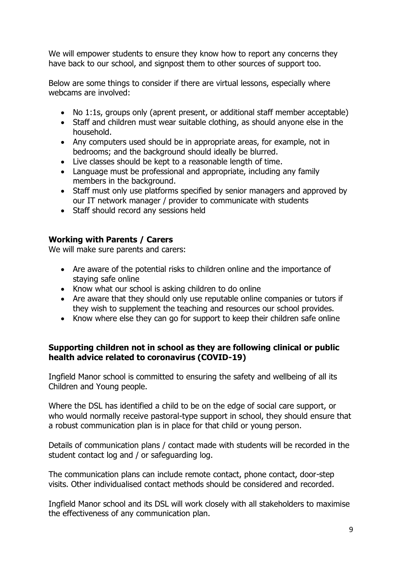We will empower students to ensure they know how to report any concerns they have back to our school, and signpost them to other sources of support too.

Below are some things to consider if there are virtual lessons, especially where webcams are involved:

- No 1:1s, groups only (aprent present, or additional staff member acceptable)
- Staff and children must wear suitable clothing, as should anyone else in the household.
- Any computers used should be in appropriate areas, for example, not in bedrooms; and the background should ideally be blurred.
- Live classes should be kept to a reasonable length of time.
- Language must be professional and appropriate, including any family members in the background.
- Staff must only use platforms specified by senior managers and approved by our IT network manager / provider to communicate with students
- Staff should record any sessions held

## **Working with Parents / Carers**

We will make sure parents and carers:

- Are aware of the potential risks to children online and the importance of staying safe online
- Know what our school is asking children to do online
- Are aware that they should only use reputable online companies or tutors if they wish to supplement the teaching and resources our school provides.
- Know where else they can go for support to keep their children safe online

## **Supporting children not in school as they are following clinical or public health advice related to coronavirus (COVID-19)**

Ingfield Manor school is committed to ensuring the safety and wellbeing of all its Children and Young people.

Where the DSL has identified a child to be on the edge of social care support, or who would normally receive pastoral-type support in school, they should ensure that a robust communication plan is in place for that child or young person.

Details of communication plans / contact made with students will be recorded in the student contact log and / or safeguarding log.

The communication plans can include remote contact, phone contact, door-step visits. Other individualised contact methods should be considered and recorded.

Ingfield Manor school and its DSL will work closely with all stakeholders to maximise the effectiveness of any communication plan.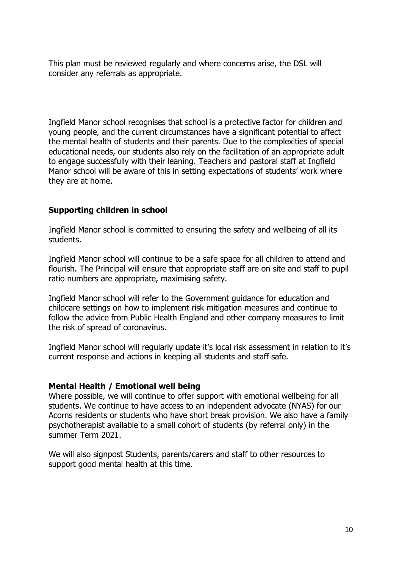This plan must be reviewed regularly and where concerns arise, the DSL will consider any referrals as appropriate.

Ingfield Manor school recognises that school is a protective factor for children and young people, and the current circumstances have a significant potential to affect the mental health of students and their parents. Due to the complexities of special educational needs, our students also rely on the facilitation of an appropriate adult to engage successfully with their leaning. Teachers and pastoral staff at Ingfield Manor school will be aware of this in setting expectations of students' work where they are at home.

## <span id="page-9-0"></span>**Supporting children in school**

Ingfield Manor school is committed to ensuring the safety and wellbeing of all its students.

Ingfield Manor school will continue to be a safe space for all children to attend and flourish. The Principal will ensure that appropriate staff are on site and staff to pupil ratio numbers are appropriate, maximising safety.

Ingfield Manor school will refer to the Government guidance for education and childcare settings on how to implement risk mitigation measures and continue to follow the advice from Public Health England and other company measures to limit the risk of spread of coronavirus.

Ingfield Manor school will regularly update it's local risk assessment in relation to it's current response and actions in keeping all students and staff safe.

## **Mental Health / Emotional well being**

Where possible, we will continue to offer support with emotional wellbeing for all students. We continue to have access to an independent advocate (NYAS) for our Acorns residents or students who have short break provision. We also have a family psychotherapist available to a small cohort of students (by referral only) in the summer Term 2021.

We will also signpost Students, parents/carers and staff to other resources to support good mental health at this time.